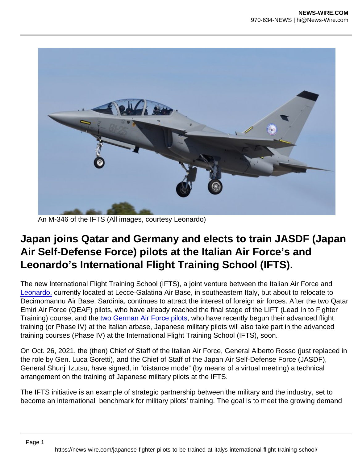An M-346 of the IFTS (All images, courtesy Leonardo)

## Japan joins Qatar and Germany and elects to train JASDF (Japan Air Self-Defense Force) pilots at the Italian Air Force's and Leonardo's International Flight Training School (IFTS).

The new International Flight Training School (IFTS), a joint venture between the Italian Air Force and [Leonardo,](https://theaviationist.com/2020/12/30/leonardo-deep-dive-into-the-main-programs-of-one-of-the-largest-defense-contractors-in-the-world/) currently located at Lecce-Galatina Air Base, in southeastern Italy, but about to relocate to Decimomannu Air Base, Sardinia, continues to attract the interest of foreign air forces. After the two Qatar Emiri Air Force (QEAF) pilots, who have already reached the final stage of the LIFT (Lead In to Fighter Training) course, and the [two German Air Force pilots](https://theaviationist.com/2021/09/29/ifts-gaf-pilots/), who have recently begun their advanced flight training (or Phase IV) at the Italian arbase, Japanese military pilots will also take part in the advanced training courses (Phase IV) at the International Flight Training School (IFTS), soon.

On Oct. 26, 2021, the (then) Chief of Staff of the Italian Air Force, General Alberto Rosso (just replaced in the role by Gen. Luca Goretti), and the Chief of Staff of the Japan Air Self-Defense Force (JASDF), General Shunji Izutsu, have signed, in "distance mode" (by means of a virtual meeting) a technical arrangement on the training of Japanese military pilots at the IFTS.

The IFTS initiative is an example of strategic partnership between the military and the industry, set to become an international benchmark for military pilots' training. The goal is to meet the growing demand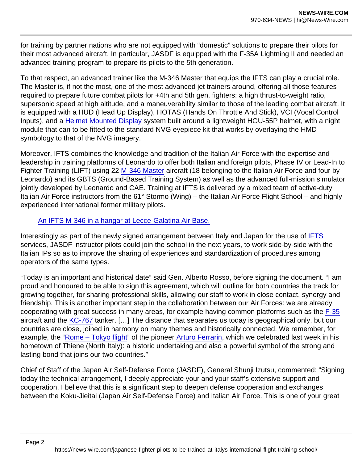for training by partner nations who are not equipped with "domestic" solutions to prepare their pilots for their most advanced aircraft. In particular, JASDF is equipped with the F-35A Lightning II and needed an advanced training program to prepare its pilots to the 5th generation.

To that respect, an advanced trainer like the M-346 Master that equips the IFTS can play a crucial role. The Master is, if not the most, one of the most advanced jet trainers around, offering all those features required to prepare future combat pilots for +4th and 5th gen. fighters: a high thrust-to-weight ratio, supersonic speed at high altitude, and a maneuverability similar to those of the leading combat aircraft. It is equipped with a HUD (Head Up Display), HOTAS (Hands On Throttle And Stick), VCI (Vocal Control Inputs), and a [Helmet Mounted Display](https://theaviationist.com/2013/09/03/m-346-polaf/) system built around a lightweight HGU-55P helmet, with a night module that can to be fitted to the standard NVG eyepiece kit that works by overlaying the HMD symbology to that of the NVG imagery.

Moreover, IFTS combines the knowledge and tradition of the Italian Air Force with the expertise and leadership in training platforms of Leonardo to offer both Italian and foreign pilots, Phase IV or Lead-In to Fighter Training (LIFT) using 22 [M-346 Master](https://theaviationist.com/2015/04/27/we-flew-the-itaf-m-346/) aircraft (18 belonging to the Italian Air Force and four by Leonardo) and its GBTS (Ground-Based Training System) as well as the advanced full-mission simulator jointly developed by Leonardo and CAE. Training at IFTS is delivered by a mixed team of active-duty Italian Air Force instructors from the 61° Stormo (Wing) – the Italian Air Force Flight School – and highly experienced international former military pilots.

## [An IFTS M-346 in a hangar at Lecce-Galatina Air Base.](https://i1.wp.com/theaviationist.com/wp-content/uploads/2021/10/M-346-IFTS-hangar.jpg?ssl=1)

Interestingly as part of the newly signed arrangement between Italy and Japan for the use of [IFTS](https://www.leonardocompany.com/en/products/ifts-international-flight-training-school) services, JASDF instructor pilots could join the school in the next years, to work side-by-side with the Italian IPs so as to improve the sharing of experiences and standardization of procedures among operators of the same types.

"Today is an important and historical date" said Gen. Alberto Rosso, before signing the document. "I am proud and honoured to be able to sign this agreement, which will outline for both countries the track for growing together, for sharing professional skills, allowing our staff to work in close contact, synergy and friendship. This is another important step in the collaboration between our Air Forces: we are already cooperating with great success in many areas, for example having common platforms such as the [F-35](https://theaviationist.com/2017/06/05/the-first-japanese-built-f-35a-unveiled-at-nagoya-production-facility-in-japan/) aircraft and the [KC-767](https://theaviationist.com/2021/04/19/force-multiplier-we-refuel-f-35s-tornado-typhoons-and-another-kc-767-during-mission-with-italian-air-force-tanker/) tanker. […] The distance that separates us today is geographical only, but our countries are close, joined in harmony on many themes and historically connected. We remember, for example, the ["Rome – Tokyo flight"](https://theaviationist.com/2020/02/18/italian-air-force-special-colored-s-208ms-celebrate-100th-anniversary-of-historic-first-rome-tokyo-flight/) of the pioneer [Arturo Ferrarin,](https://theaviationist.com/2020/06/01/new-special-colored-f-104-unveiled-for-the-100th-anniversary-of-the-historic-first-rome-tokyo-flight/) which we celebrated last week in his hometown of Thiene (North Italy): a historic undertaking and also a powerful symbol of the strong and lasting bond that joins our two countries."

Chief of Staff of the Japan Air Self-Defense Force (JASDF), General Shunji Izutsu, commented: "Signing today the technical arrangement, I deeply appreciate your and your staff's extensive support and cooperation. I believe that this is a significant step to deepen defense cooperation and exchanges between the Koku-Jieitai (Japan Air Self-Defense Force) and Italian Air Force. This is one of your great